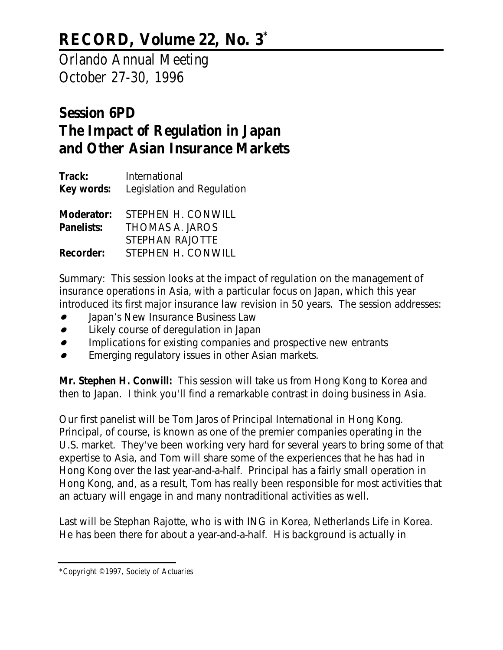## **RECORD, Volume 22, No. 3\***

Orlando Annual Meeting October 27-30, 1996

## **Session 6PD The Impact of Regulation in Japan and Other Asian Insurance Markets**

| Track:<br>Key words:     | International<br>Legislation and Regulation              |
|--------------------------|----------------------------------------------------------|
| Moderator:<br>Panelists: | STEPHEN H. CONWILL<br>THOMAS A. JAROS<br>STEPHAN RAJOTTE |
| <b>Recorder:</b>         | STEPHEN H. CONWILL                                       |

*Summary: This session looks at the impact of regulation on the management of insurance operations in Asia, with a particular focus on Japan, which this year introduced its first major insurance law revision in 50 years. The session addresses:*

- *Japan's New Insurance Business Law*
- *Likely course of deregulation in Japan*
- $\bullet$ *Implications for existing companies and prospective new entrants*
- *Emerging regulatory issues in other Asian markets*.

**Mr. Stephen H. Conwill:** This session will take us from Hong Kong to Korea and then to Japan. I think you'll find a remarkable contrast in doing business in Asia.

Our first panelist will be Tom Jaros of Principal International in Hong Kong. Principal, of course, is known as one of the premier companies operating in the U.S. market. They've been working very hard for several years to bring some of that expertise to Asia, and Tom will share some of the experiences that he has had in Hong Kong over the last year-and-a-half. Principal has a fairly small operation in Hong Kong, and, as a result, Tom has really been responsible for most activities that an actuary will engage in and many nontraditional activities as well.

Last will be Stephan Rajotte, who is with ING in Korea, Netherlands Life in Korea. He has been there for about a year-and-a-half. His background is actually in

<sup>\*</sup>Copyright © 1997, Society of Actuaries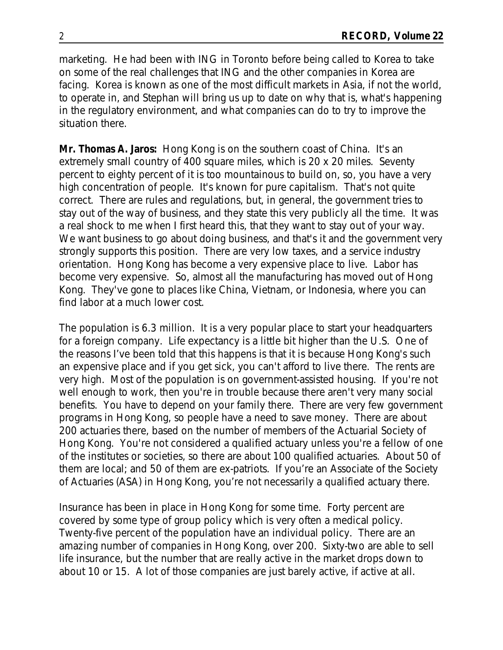marketing. He had been with ING in Toronto before being called to Korea to take on some of the real challenges that ING and the other companies in Korea are facing. Korea is known as one of the most difficult markets in Asia, if not the world, to operate in, and Stephan will bring us up to date on why that is, what's happening in the regulatory environment, and what companies can do to try to improve the situation there.

**Mr. Thomas A. Jaros:** Hong Kong is on the southern coast of China. It's an extremely small country of 400 square miles, which is 20 x 20 miles. Seventy percent to eighty percent of it is too mountainous to build on, so, you have a very high concentration of people. It's known for pure capitalism. That's not quite correct. There are rules and regulations, but, in general, the government tries to stay out of the way of business, and they state this very publicly all the time. It was a real shock to me when I first heard this, that they want to stay out of your way. We want business to go about doing business, and that's it and the government very strongly supports this position. There are very low taxes, and a service industry orientation. Hong Kong has become a very expensive place to live. Labor has become very expensive. So, almost all the manufacturing has moved out of Hong Kong. They've gone to places like China, Vietnam, or Indonesia, where you can find labor at a much lower cost.

The population is 6.3 million. It is a very popular place to start your headquarters for a foreign company. Life expectancy is a little bit higher than the U.S. One of the reasons I've been told that this happens is that it is because Hong Kong's such an expensive place and if you get sick, you can't afford to live there. The rents are very high. Most of the population is on government-assisted housing. If you're not well enough to work, then you're in trouble because there aren't very many social benefits. You have to depend on your family there. There are very few government programs in Hong Kong, so people have a need to save money. There are about 200 actuaries there, based on the number of members of the Actuarial Society of Hong Kong. You're not considered a qualified actuary unless you're a fellow of one of the institutes or societies, so there are about 100 qualified actuaries. About 50 of them are local; and 50 of them are ex-patriots. If you're an Associate of the Society of Actuaries (ASA) in Hong Kong, you're not necessarily a qualified actuary there.

Insurance has been in place in Hong Kong for some time. Forty percent are covered by some type of group policy which is very often a medical policy. Twenty-five percent of the population have an individual policy. There are an amazing number of companies in Hong Kong, over 200. Sixty-two are able to sell life insurance, but the number that are really active in the market drops down to about 10 or 15. A lot of those companies are just barely active, if active at all.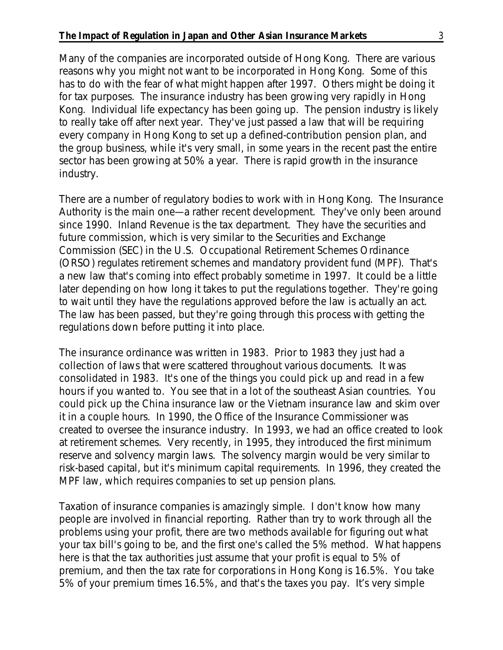Many of the companies are incorporated outside of Hong Kong. There are various reasons why you might not want to be incorporated in Hong Kong. Some of this has to do with the fear of what might happen after 1997. Others might be doing it for tax purposes. The insurance industry has been growing very rapidly in Hong Kong. Individual life expectancy has been going up. The pension industry is likely to really take off after next year. They've just passed a law that will be requiring every company in Hong Kong to set up a defined-contribution pension plan, and the group business, while it's very small, in some years in the recent past the entire sector has been growing at 50% a year. There is rapid growth in the insurance industry.

There are a number of regulatory bodies to work with in Hong Kong. The Insurance Authority is the main one—a rather recent development. They've only been around since 1990. Inland Revenue is the tax department. They have the securities and future commission, which is very similar to the Securities and Exchange Commission (SEC) in the U.S. Occupational Retirement Schemes Ordinance (ORSO) regulates retirement schemes and mandatory provident fund (MPF). That's a new law that's coming into effect probably sometime in 1997. It could be a little later depending on how long it takes to put the regulations together. They're going to wait until they have the regulations approved before the law is actually an act. The law has been passed, but they're going through this process with getting the regulations down before putting it into place.

The insurance ordinance was written in 1983. Prior to 1983 they just had a collection of laws that were scattered throughout various documents. It was consolidated in 1983. It's one of the things you could pick up and read in a few hours if you wanted to. You see that in a lot of the southeast Asian countries. You could pick up the China insurance law or the Vietnam insurance law and skim over it in a couple hours. In 1990, the Office of the Insurance Commissioner was created to oversee the insurance industry. In 1993, we had an office created to look at retirement schemes. Very recently, in 1995, they introduced the first minimum reserve and solvency margin laws. The solvency margin would be very similar to risk-based capital, but it's minimum capital requirements. In 1996, they created the MPF law, which requires companies to set up pension plans.

Taxation of insurance companies is amazingly simple. I don't know how many people are involved in financial reporting. Rather than try to work through all the problems using your profit, there are two methods available for figuring out what your tax bill's going to be, and the first one's called the 5% method. What happens here is that the tax authorities just assume that your profit is equal to 5% of premium, and then the tax rate for corporations in Hong Kong is 16.5%. You take 5% of your premium times 16.5%, and that's the taxes you pay. It's very simple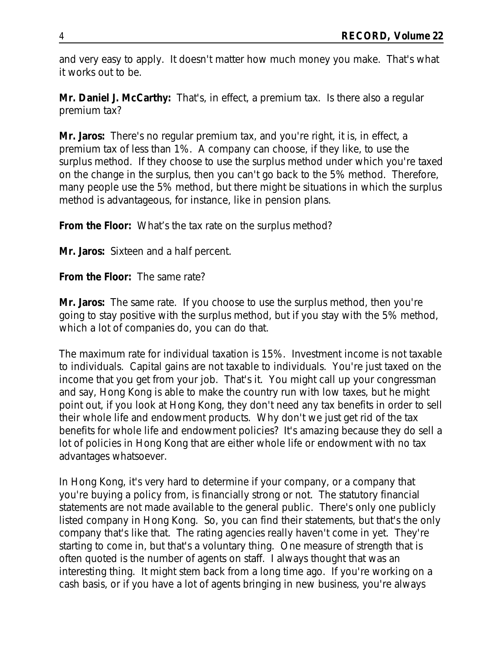and very easy to apply. It doesn't matter how much money you make. That's what it works out to be.

**Mr. Daniel J. McCarthy:** That's, in effect, a premium tax. Is there also a regular premium tax?

**Mr. Jaros:** There's no regular premium tax, and you're right, it is, in effect, a premium tax of less than 1%. A company can choose, if they like, to use the surplus method. If they choose to use the surplus method under which you're taxed on the change in the surplus, then you can't go back to the 5% method. Therefore, many people use the 5% method, but there might be situations in which the surplus method is advantageous, for instance, like in pension plans.

**From the Floor:** What's the tax rate on the surplus method?

**Mr. Jaros:** Sixteen and a half percent.

**From the Floor:** The same rate?

**Mr. Jaros:** The same rate. If you choose to use the surplus method, then you're going to stay positive with the surplus method, but if you stay with the 5% method, which a lot of companies do, you can do that.

The maximum rate for individual taxation is 15%. Investment income is not taxable to individuals. Capital gains are not taxable to individuals. You're just taxed on the income that you get from your job. That's it. You might call up your congressman and say, Hong Kong is able to make the country run with low taxes, but he might point out, if you look at Hong Kong, they don't need any tax benefits in order to sell their whole life and endowment products. Why don't we just get rid of the tax benefits for whole life and endowment policies? It's amazing because they do sell a lot of policies in Hong Kong that are either whole life or endowment with no tax advantages whatsoever.

In Hong Kong, it's very hard to determine if your company, or a company that you're buying a policy from, is financially strong or not. The statutory financial statements are not made available to the general public. There's only one publicly listed company in Hong Kong. So, you can find their statements, but that's the only company that's like that. The rating agencies really haven't come in yet. They're starting to come in, but that's a voluntary thing. One measure of strength that is often quoted is the number of agents on staff. I always thought that was an interesting thing. It might stem back from a long time ago. If you're working on a cash basis, or if you have a lot of agents bringing in new business, you're always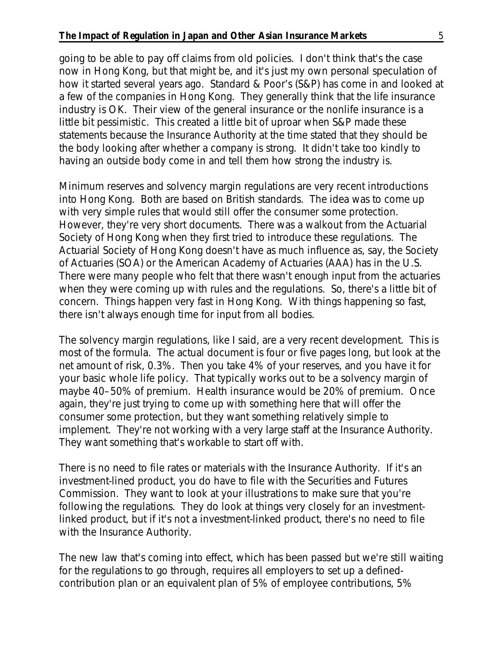going to be able to pay off claims from old policies. I don't think that's the case now in Hong Kong, but that might be, and it's just my own personal speculation of how it started several years ago. Standard & Poor's (S&P) has come in and looked at a few of the companies in Hong Kong. They generally think that the life insurance industry is OK. Their view of the general insurance or the nonlife insurance is a little bit pessimistic. This created a little bit of uproar when S&P made these statements because the Insurance Authority at the time stated that they should be the body looking after whether a company is strong. It didn't take too kindly to having an outside body come in and tell them how strong the industry is.

Minimum reserves and solvency margin regulations are very recent introductions into Hong Kong. Both are based on British standards. The idea was to come up with very simple rules that would still offer the consumer some protection. However, they're very short documents. There was a walkout from the Actuarial Society of Hong Kong when they first tried to introduce these regulations. The Actuarial Society of Hong Kong doesn't have as much influence as, say, the Society of Actuaries (SOA) or the American Academy of Actuaries (AAA) has in the U.S. There were many people who felt that there wasn't enough input from the actuaries when they were coming up with rules and the regulations. So, there's a little bit of concern. Things happen very fast in Hong Kong. With things happening so fast, there isn't always enough time for input from all bodies.

The solvency margin regulations, like I said, are a very recent development. This is most of the formula. The actual document is four or five pages long, but look at the net amount of risk, 0.3%. Then you take 4% of your reserves, and you have it for your basic whole life policy. That typically works out to be a solvency margin of maybe 40–50% of premium. Health insurance would be 20% of premium. Once again, they're just trying to come up with something here that will offer the consumer some protection, but they want something relatively simple to implement. They're not working with a very large staff at the Insurance Authority. They want something that's workable to start off with.

There is no need to file rates or materials with the Insurance Authority. If it's an investment-lined product, you do have to file with the Securities and Futures Commission. They want to look at your illustrations to make sure that you're following the regulations. They do look at things very closely for an investmentlinked product, but if it's not a investment-linked product, there's no need to file with the Insurance Authority.

The new law that's coming into effect, which has been passed but we're still waiting for the regulations to go through, requires all employers to set up a definedcontribution plan or an equivalent plan of 5% of employee contributions, 5%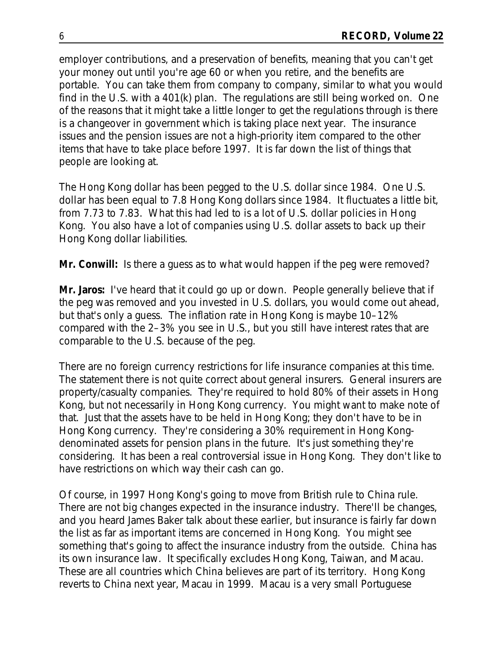employer contributions, and a preservation of benefits, meaning that you can't get your money out until you're age 60 or when you retire, and the benefits are portable. You can take them from company to company, similar to what you would find in the U.S. with a 401(k) plan. The regulations are still being worked on. One of the reasons that it might take a little longer to get the regulations through is there is a changeover in government which is taking place next year. The insurance issues and the pension issues are not a high-priority item compared to the other items that have to take place before 1997. It is far down the list of things that people are looking at.

The Hong Kong dollar has been pegged to the U.S. dollar since 1984. One U.S. dollar has been equal to 7.8 Hong Kong dollars since 1984. It fluctuates a little bit, from 7.73 to 7.83. What this had led to is a lot of U.S. dollar policies in Hong Kong. You also have a lot of companies using U.S. dollar assets to back up their Hong Kong dollar liabilities.

**Mr. Conwill:** Is there a guess as to what would happen if the peg were removed?

**Mr. Jaros:** I've heard that it could go up or down. People generally believe that if the peg was removed and you invested in U.S. dollars, you would come out ahead, but that's only a guess. The inflation rate in Hong Kong is maybe 10–12% compared with the 2–3% you see in U.S., but you still have interest rates that are comparable to the U.S. because of the peg.

There are no foreign currency restrictions for life insurance companies at this time. The statement there is not quite correct about general insurers. General insurers are property/casualty companies. They're required to hold 80% of their assets in Hong Kong, but not necessarily in Hong Kong currency. You might want to make note of that. Just that the assets have to be held in Hong Kong; they don't have to be in Hong Kong currency. They're considering a 30% requirement in Hong Kongdenominated assets for pension plans in the future. It's just something they're considering. It has been a real controversial issue in Hong Kong. They don't like to have restrictions on which way their cash can go.

Of course, in 1997 Hong Kong's going to move from British rule to China rule. There are not big changes expected in the insurance industry. There'll be changes, and you heard James Baker talk about these earlier, but insurance is fairly far down the list as far as important items are concerned in Hong Kong. You might see something that's going to affect the insurance industry from the outside. China has its own insurance law. It specifically excludes Hong Kong, Taiwan, and Macau. These are all countries which China believes are part of its territory. Hong Kong reverts to China next year, Macau in 1999. Macau is a very small Portuguese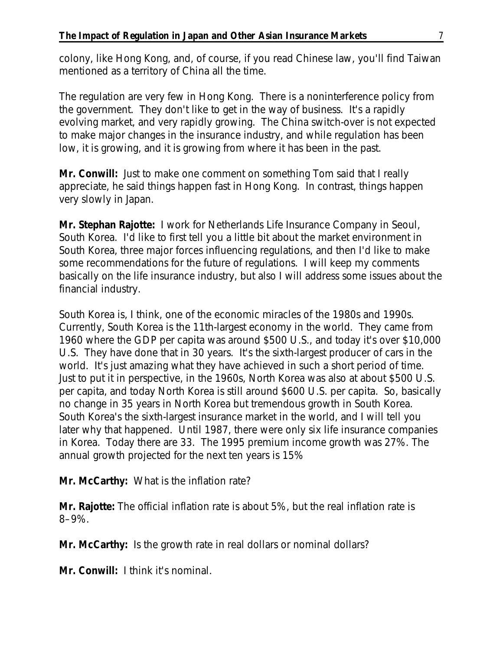colony, like Hong Kong, and, of course, if you read Chinese law, you'll find Taiwan mentioned as a territory of China all the time.

The regulation are very few in Hong Kong. There is a noninterference policy from the government. They don't like to get in the way of business. It's a rapidly evolving market, and very rapidly growing. The China switch-over is not expected to make major changes in the insurance industry, and while regulation has been low, it is growing, and it is growing from where it has been in the past.

**Mr. Conwill:** Just to make one comment on something Tom said that I really appreciate, he said things happen fast in Hong Kong. In contrast, things happen very slowly in Japan.

**Mr. Stephan Rajotte:** I work for Netherlands Life Insurance Company in Seoul, South Korea. I'd like to first tell you a little bit about the market environment in South Korea, three major forces influencing regulations, and then I'd like to make some recommendations for the future of regulations. I will keep my comments basically on the life insurance industry, but also I will address some issues about the financial industry.

South Korea is, I think, one of the economic miracles of the 1980s and 1990s. Currently, South Korea is the 11th-largest economy in the world. They came from 1960 where the GDP per capita was around \$500 U.S., and today it's over \$10,000 U.S. They have done that in 30 years. It's the sixth-largest producer of cars in the world. It's just amazing what they have achieved in such a short period of time. Just to put it in perspective, in the 1960s, North Korea was also at about \$500 U.S. per capita, and today North Korea is still around \$600 U.S. per capita. So, basically no change in 35 years in North Korea but tremendous growth in South Korea. South Korea's the sixth-largest insurance market in the world, and I will tell you later why that happened. Until 1987, there were only six life insurance companies in Korea. Today there are 33. The 1995 premium income growth was 27%. The annual growth projected for the next ten years is 15%

**Mr. McCarthy:** What is the inflation rate?

**Mr. Rajotte:** The official inflation rate is about 5%, but the real inflation rate is 8–9%.

**Mr. McCarthy:** Is the growth rate in real dollars or nominal dollars?

**Mr. Conwill:** I think it's nominal.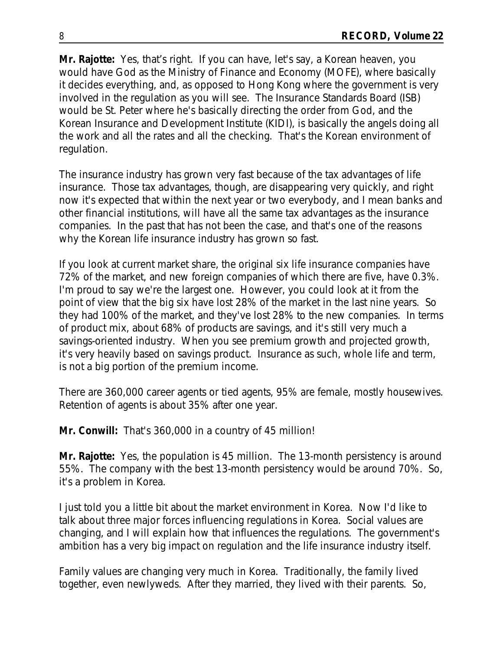**Mr. Rajotte:** Yes, that's right. If you can have, let's say, a Korean heaven, you would have God as the Ministry of Finance and Economy (MOFE), where basically it decides everything, and, as opposed to Hong Kong where the government is very involved in the regulation as you will see. The Insurance Standards Board (ISB) would be St. Peter where he's basically directing the order from God, and the Korean Insurance and Development Institute (KIDI), is basically the angels doing all the work and all the rates and all the checking. That's the Korean environment of regulation.

The insurance industry has grown very fast because of the tax advantages of life insurance. Those tax advantages, though, are disappearing very quickly, and right now it's expected that within the next year or two everybody, and I mean banks and other financial institutions, will have all the same tax advantages as the insurance companies. In the past that has not been the case, and that's one of the reasons why the Korean life insurance industry has grown so fast.

If you look at current market share, the original six life insurance companies have 72% of the market, and new foreign companies of which there are five, have 0.3%. I'm proud to say we're the largest one. However, you could look at it from the point of view that the big six have lost 28% of the market in the last nine years. So they had 100% of the market, and they've lost 28% to the new companies. In terms of product mix, about 68% of products are savings, and it's still very much a savings-oriented industry. When you see premium growth and projected growth, it's very heavily based on savings product. Insurance as such, whole life and term, is not a big portion of the premium income.

There are 360,000 career agents or tied agents, 95% are female, mostly housewives. Retention of agents is about 35% after one year.

**Mr. Conwill:** That's 360,000 in a country of 45 million!

**Mr. Rajotte:** Yes, the population is 45 million. The 13-month persistency is around 55%. The company with the best 13-month persistency would be around 70%. So, it's a problem in Korea.

I just told you a little bit about the market environment in Korea. Now I'd like to talk about three major forces influencing regulations in Korea. Social values are changing, and I will explain how that influences the regulations. The government's ambition has a very big impact on regulation and the life insurance industry itself.

Family values are changing very much in Korea. Traditionally, the family lived together, even newlyweds. After they married, they lived with their parents. So,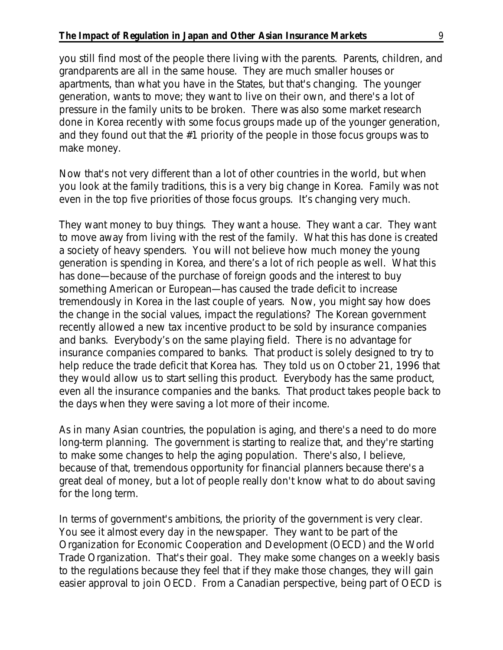## **The Impact of Regulation in Japan and Other Asian Insurance Markets** 9

you still find most of the people there living with the parents. Parents, children, and grandparents are all in the same house. They are much smaller houses or apartments, than what you have in the States, but that's changing. The younger generation, wants to move; they want to live on their own, and there's a lot of pressure in the family units to be broken. There was also some market research done in Korea recently with some focus groups made up of the younger generation, and they found out that the #1 priority of the people in those focus groups was to make money.

Now that's not very different than a lot of other countries in the world, but when you look at the family traditions, this is a very big change in Korea. Family was not even in the top five priorities of those focus groups. It's changing very much.

They want money to buy things. They want a house. They want a car. They want to move away from living with the rest of the family. What this has done is created a society of heavy spenders. You will not believe how much money the young generation is spending in Korea, and there's a lot of rich people as well. What this has done—because of the purchase of foreign goods and the interest to buy something American or European—has caused the trade deficit to increase tremendously in Korea in the last couple of years. Now, you might say how does the change in the social values, impact the regulations? The Korean government recently allowed a new tax incentive product to be sold by insurance companies and banks. Everybody's on the same playing field. There is no advantage for insurance companies compared to banks. That product is solely designed to try to help reduce the trade deficit that Korea has. They told us on October 21, 1996 that they would allow us to start selling this product. Everybody has the same product, even all the insurance companies and the banks. That product takes people back to the days when they were saving a lot more of their income.

As in many Asian countries, the population is aging, and there's a need to do more long-term planning. The government is starting to realize that, and they're starting to make some changes to help the aging population. There's also, I believe, because of that, tremendous opportunity for financial planners because there's a great deal of money, but a lot of people really don't know what to do about saving for the long term.

In terms of government's ambitions, the priority of the government is very clear. You see it almost every day in the newspaper. They want to be part of the Organization for Economic Cooperation and Development (OECD) and the World Trade Organization. That's their goal. They make some changes on a weekly basis to the regulations because they feel that if they make those changes, they will gain easier approval to join OECD. From a Canadian perspective, being part of OECD is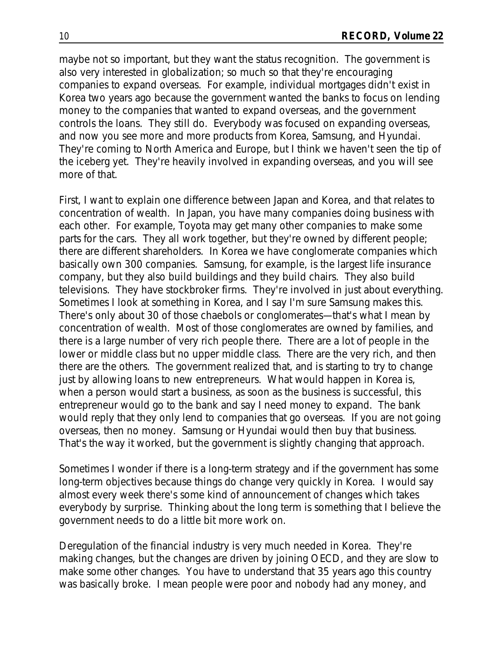maybe not so important, but they want the status recognition. The government is also very interested in globalization; so much so that they're encouraging companies to expand overseas. For example, individual mortgages didn't exist in Korea two years ago because the government wanted the banks to focus on lending money to the companies that wanted to expand overseas, and the government controls the loans. They still do. Everybody was focused on expanding overseas, and now you see more and more products from Korea, Samsung, and Hyundai. They're coming to North America and Europe, but I think we haven't seen the tip of the iceberg yet. They're heavily involved in expanding overseas, and you will see more of that.

First, I want to explain one difference between Japan and Korea, and that relates to concentration of wealth. In Japan, you have many companies doing business with each other. For example, Toyota may get many other companies to make some parts for the cars. They all work together, but they're owned by different people; there are different shareholders. In Korea we have conglomerate companies which basically own 300 companies. Samsung, for example, is the largest life insurance company, but they also build buildings and they build chairs. They also build televisions. They have stockbroker firms. They're involved in just about everything. Sometimes I look at something in Korea, and I say I'm sure Samsung makes this. There's only about 30 of those chaebols or conglomerates—that's what I mean by concentration of wealth. Most of those conglomerates are owned by families, and there is a large number of very rich people there. There are a lot of people in the lower or middle class but no upper middle class. There are the very rich, and then there are the others. The government realized that, and is starting to try to change just by allowing loans to new entrepreneurs. What would happen in Korea is, when a person would start a business, as soon as the business is successful, this entrepreneur would go to the bank and say I need money to expand. The bank would reply that they only lend to companies that go overseas. If you are not going overseas, then no money. Samsung or Hyundai would then buy that business. That's the way it worked, but the government is slightly changing that approach.

Sometimes I wonder if there is a long-term strategy and if the government has some long-term objectives because things do change very quickly in Korea. I would say almost every week there's some kind of announcement of changes which takes everybody by surprise. Thinking about the long term is something that I believe the government needs to do a little bit more work on.

Deregulation of the financial industry is very much needed in Korea. They're making changes, but the changes are driven by joining OECD, and they are slow to make some other changes. You have to understand that 35 years ago this country was basically broke. I mean people were poor and nobody had any money, and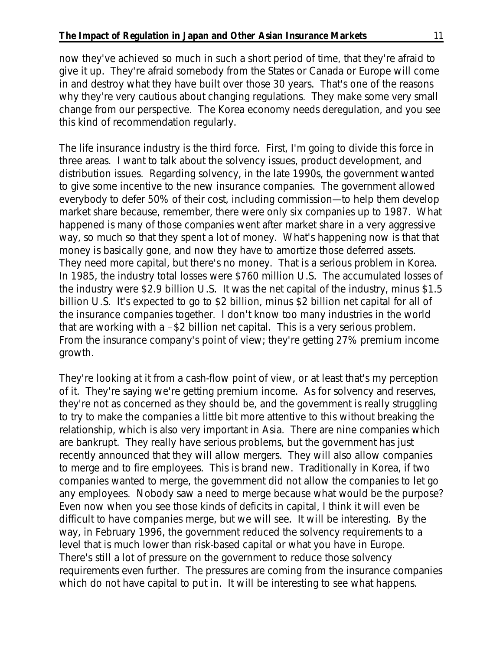now they've achieved so much in such a short period of time, that they're afraid to give it up. They're afraid somebody from the States or Canada or Europe will come in and destroy what they have built over those 30 years. That's one of the reasons why they're very cautious about changing regulations. They make some very small change from our perspective. The Korea economy needs deregulation, and you see this kind of recommendation regularly.

The life insurance industry is the third force. First, I'm going to divide this force in three areas. I want to talk about the solvency issues, product development, and distribution issues. Regarding solvency, in the late 1990s, the government wanted to give some incentive to the new insurance companies. The government allowed everybody to defer 50% of their cost, including commission—to help them develop market share because, remember, there were only six companies up to 1987. What happened is many of those companies went after market share in a very aggressive way, so much so that they spent a lot of money. What's happening now is that that money is basically gone, and now they have to amortize those deferred assets. They need more capital, but there's no money. That is a serious problem in Korea. In 1985, the industry total losses were \$760 million U.S. The accumulated losses of the industry were \$2.9 billion U.S. It was the net capital of the industry, minus \$1.5 billion U.S. It's expected to go to \$2 billion, minus \$2 billion net capital for all of the insurance companies together. I don't know too many industries in the world that are working with a  $-\$2$  billion net capital. This is a very serious problem. From the insurance company's point of view; they're getting 27% premium income growth.

They're looking at it from a cash-flow point of view, or at least that's my perception of it. They're saying we're getting premium income. As for solvency and reserves, they're not as concerned as they should be, and the government is really struggling to try to make the companies a little bit more attentive to this without breaking the relationship, which is also very important in Asia. There are nine companies which are bankrupt. They really have serious problems, but the government has just recently announced that they will allow mergers. They will also allow companies to merge and to fire employees. This is brand new. Traditionally in Korea, if two companies wanted to merge, the government did not allow the companies to let go any employees. Nobody saw a need to merge because what would be the purpose? Even now when you see those kinds of deficits in capital, I think it will even be difficult to have companies merge, but we will see. It will be interesting. By the way, in February 1996, the government reduced the solvency requirements to a level that is much lower than risk-based capital or what you have in Europe. There's still a lot of pressure on the government to reduce those solvency requirements even further. The pressures are coming from the insurance companies which do not have capital to put in. It will be interesting to see what happens.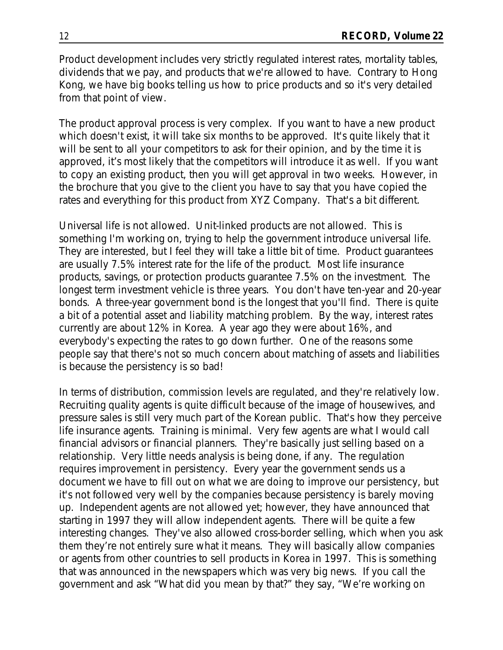Product development includes very strictly regulated interest rates, mortality tables, dividends that we pay, and products that we're allowed to have. Contrary to Hong Kong, we have big books telling us how to price products and so it's very detailed from that point of view.

The product approval process is very complex. If you want to have a new product which doesn't exist, it will take six months to be approved. It's quite likely that it will be sent to all your competitors to ask for their opinion, and by the time it is approved, it's most likely that the competitors will introduce it as well. If you want to copy an existing product, then you will get approval in two weeks. However, in the brochure that you give to the client you have to say that you have copied the rates and everything for this product from XYZ Company. That's a bit different.

Universal life is not allowed. Unit-linked products are not allowed. This is something I'm working on, trying to help the government introduce universal life. They are interested, but I feel they will take a little bit of time. Product guarantees are usually 7.5% interest rate for the life of the product. Most life insurance products, savings, or protection products guarantee 7.5% on the investment. The longest term investment vehicle is three years. You don't have ten-year and 20-year bonds. A three-year government bond is the longest that you'll find. There is quite a bit of a potential asset and liability matching problem. By the way, interest rates currently are about 12% in Korea. A year ago they were about 16%, and everybody's expecting the rates to go down further. One of the reasons some people say that there's not so much concern about matching of assets and liabilities is because the persistency is so bad!

In terms of distribution, commission levels are regulated, and they're relatively low. Recruiting quality agents is quite difficult because of the image of housewives, and pressure sales is still very much part of the Korean public. That's how they perceive life insurance agents. Training is minimal. Very few agents are what I would call financial advisors or financial planners. They're basically just selling based on a relationship. Very little needs analysis is being done, if any. The regulation requires improvement in persistency. Every year the government sends us a document we have to fill out on what we are doing to improve our persistency, but it's not followed very well by the companies because persistency is barely moving up. Independent agents are not allowed yet; however, they have announced that starting in 1997 they will allow independent agents. There will be quite a few interesting changes. They've also allowed cross-border selling, which when you ask them they're not entirely sure what it means. They will basically allow companies or agents from other countries to sell products in Korea in 1997. This is something that was announced in the newspapers which was very big news. If you call the government and ask "What did you mean by that?" they say, "We're working on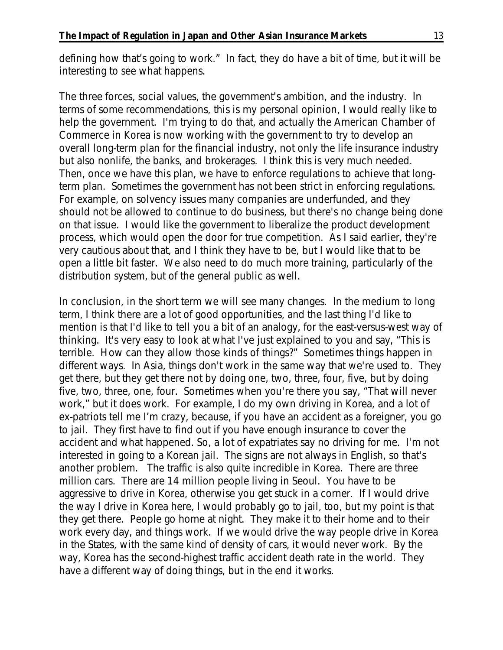defining how that's going to work." In fact, they do have a bit of time, but it will be interesting to see what happens.

The three forces, social values, the government's ambition, and the industry. In terms of some recommendations, this is my personal opinion, I would really like to help the government. I'm trying to do that, and actually the American Chamber of Commerce in Korea is now working with the government to try to develop an overall long-term plan for the financial industry, not only the life insurance industry but also nonlife, the banks, and brokerages. I think this is very much needed. Then, once we have this plan, we have to enforce regulations to achieve that longterm plan. Sometimes the government has not been strict in enforcing regulations. For example, on solvency issues many companies are underfunded, and they should not be allowed to continue to do business, but there's no change being done on that issue. I would like the government to liberalize the product development process, which would open the door for true competition. As I said earlier, they're very cautious about that, and I think they have to be, but I would like that to be open a little bit faster. We also need to do much more training, particularly of the distribution system, but of the general public as well.

In conclusion, in the short term we will see many changes. In the medium to long term, I think there are a lot of good opportunities, and the last thing I'd like to mention is that I'd like to tell you a bit of an analogy, for the east-versus-west way of thinking. It's very easy to look at what I've just explained to you and say, "This is terrible. How can they allow those kinds of things?" Sometimes things happen in different ways. In Asia, things don't work in the same way that we're used to. They get there, but they get there not by doing one, two, three, four, five, but by doing five, two, three, one, four. Sometimes when you're there you say, "That will never work," but it does work. For example, I do my own driving in Korea, and a lot of ex-patriots tell me I'm crazy, because, if you have an accident as a foreigner, you go to jail. They first have to find out if you have enough insurance to cover the accident and what happened. So, a lot of expatriates say no driving for me. I'm not interested in going to a Korean jail. The signs are not always in English, so that's another problem. The traffic is also quite incredible in Korea. There are three million cars. There are 14 million people living in Seoul. You have to be aggressive to drive in Korea, otherwise you get stuck in a corner. If I would drive the way I drive in Korea here, I would probably go to jail, too, but my point is that they get there. People go home at night. They make it to their home and to their work every day, and things work. If we would drive the way people drive in Korea in the States, with the same kind of density of cars, it would never work. By the way, Korea has the second-highest traffic accident death rate in the world. They have a different way of doing things, but in the end it works.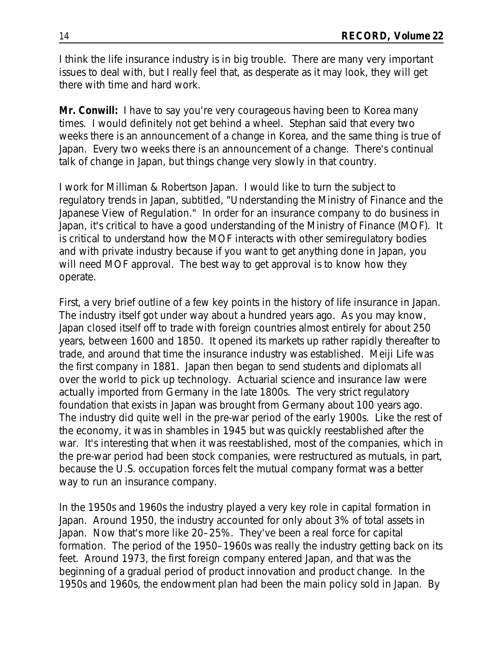I think the life insurance industry is in big trouble. There are many very important issues to deal with, but I really feel that, as desperate as it may look, they will get there with time and hard work.

**Mr. Conwill:** I have to say you're very courageous having been to Korea many times. I would definitely not get behind a wheel. Stephan said that every two weeks there is an announcement of a change in Korea, and the same thing is true of Japan. Every two weeks there is an announcement of a change. There's continual talk of change in Japan, but things change very slowly in that country.

I work for Milliman & Robertson Japan. I would like to turn the subject to regulatory trends in Japan, subtitled, "Understanding the Ministry of Finance and the Japanese View of Regulation." In order for an insurance company to do business in Japan, it's critical to have a good understanding of the Ministry of Finance (MOF). It is critical to understand how the MOF interacts with other semiregulatory bodies and with private industry because if you want to get anything done in Japan, you will need MOF approval. The best way to get approval is to know how they operate.

First, a very brief outline of a few key points in the history of life insurance in Japan. The industry itself got under way about a hundred years ago. As you may know, Japan closed itself off to trade with foreign countries almost entirely for about 250 years, between 1600 and 1850. It opened its markets up rather rapidly thereafter to trade, and around that time the insurance industry was established. Meiji Life was the first company in 1881. Japan then began to send students and diplomats all over the world to pick up technology. Actuarial science and insurance law were actually imported from Germany in the late 1800s. The very strict regulatory foundation that exists in Japan was brought from Germany about 100 years ago. The industry did quite well in the pre-war period of the early 1900s. Like the rest of the economy, it was in shambles in 1945 but was quickly reestablished after the war. It's interesting that when it was reestablished, most of the companies, which in the pre-war period had been stock companies, were restructured as mutuals, in part, because the U.S. occupation forces felt the mutual company format was a better way to run an insurance company.

In the 1950s and 1960s the industry played a very key role in capital formation in Japan. Around 1950, the industry accounted for only about 3% of total assets in Japan. Now that's more like 20–25%. They've been a real force for capital formation. The period of the 1950–1960s was really the industry getting back on its feet. Around 1973, the first foreign company entered Japan, and that was the beginning of a gradual period of product innovation and product change. In the 1950s and 1960s, the endowment plan had been the main policy sold in Japan. By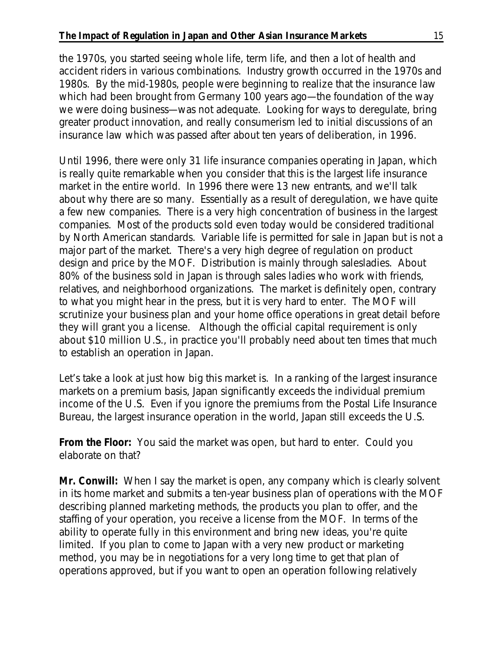the 1970s, you started seeing whole life, term life, and then a lot of health and accident riders in various combinations. Industry growth occurred in the 1970s and 1980s. By the mid-1980s, people were beginning to realize that the insurance law which had been brought from Germany 100 years ago—the foundation of the way we were doing business—was not adequate. Looking for ways to deregulate, bring greater product innovation, and really consumerism led to initial discussions of an insurance law which was passed after about ten years of deliberation, in 1996.

Until 1996, there were only 31 life insurance companies operating in Japan, which is really quite remarkable when you consider that this is the largest life insurance market in the entire world. In 1996 there were 13 new entrants, and we'll talk about why there are so many. Essentially as a result of deregulation, we have quite a few new companies. There is a very high concentration of business in the largest companies. Most of the products sold even today would be considered traditional by North American standards. Variable life is permitted for sale in Japan but is not a major part of the market. There's a very high degree of regulation on product design and price by the MOF. Distribution is mainly through salesladies. About 80% of the business sold in Japan is through sales ladies who work with friends, relatives, and neighborhood organizations. The market is definitely open, contrary to what you might hear in the press, but it is very hard to enter. The MOF will scrutinize your business plan and your home office operations in great detail before they will grant you a license. Although the official capital requirement is only about \$10 million U.S., in practice you'll probably need about ten times that much to establish an operation in Japan.

Let's take a look at just how big this market is. In a ranking of the largest insurance markets on a premium basis, Japan significantly exceeds the individual premium income of the U.S. Even if you ignore the premiums from the Postal Life Insurance Bureau, the largest insurance operation in the world, Japan still exceeds the U.S.

**From the Floor:** You said the market was open, but hard to enter. Could you elaborate on that?

**Mr. Conwill:** When I say the market is open, any company which is clearly solvent in its home market and submits a ten-year business plan of operations with the MOF describing planned marketing methods, the products you plan to offer, and the staffing of your operation, you receive a license from the MOF. In terms of the ability to operate fully in this environment and bring new ideas, you're quite limited. If you plan to come to Japan with a very new product or marketing method, you may be in negotiations for a very long time to get that plan of operations approved, but if you want to open an operation following relatively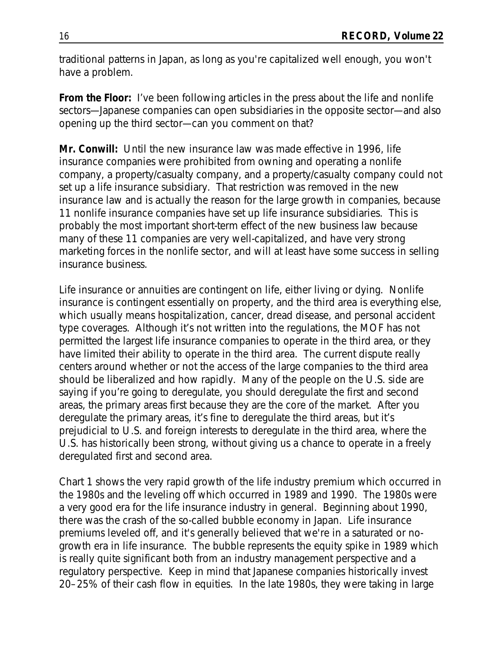traditional patterns in Japan, as long as you're capitalized well enough, you won't have a problem.

**From the Floor:** I've been following articles in the press about the life and nonlife sectors—Japanese companies can open subsidiaries in the opposite sector—and also opening up the third sector—can you comment on that?

**Mr. Conwill:** Until the new insurance law was made effective in 1996, life insurance companies were prohibited from owning and operating a nonlife company, a property/casualty company, and a property/casualty company could not set up a life insurance subsidiary. That restriction was removed in the new insurance law and is actually the reason for the large growth in companies, because 11 nonlife insurance companies have set up life insurance subsidiaries. This is probably the most important short-term effect of the new business law because many of these 11 companies are very well-capitalized, and have very strong marketing forces in the nonlife sector, and will at least have some success in selling insurance business.

Life insurance or annuities are contingent on life, either living or dying. Nonlife insurance is contingent essentially on property, and the third area is everything else, which usually means hospitalization, cancer, dread disease, and personal accident type coverages. Although it's not written into the regulations, the MOF has not permitted the largest life insurance companies to operate in the third area, or they have limited their ability to operate in the third area. The current dispute really centers around whether or not the access of the large companies to the third area should be liberalized and how rapidly. Many of the people on the U.S. side are saying if you're going to deregulate, you should deregulate the first and second areas, the primary areas first because they are the core of the market. After you deregulate the primary areas, it's fine to deregulate the third areas, but it's prejudicial to U.S. and foreign interests to deregulate in the third area, where the U.S. has historically been strong, without giving us a chance to operate in a freely deregulated first and second area.

Chart 1 shows the very rapid growth of the life industry premium which occurred in the 1980s and the leveling off which occurred in 1989 and 1990. The 1980s were a very good era for the life insurance industry in general. Beginning about 1990, there was the crash of the so-called bubble economy in Japan. Life insurance premiums leveled off, and it's generally believed that we're in a saturated or nogrowth era in life insurance. The bubble represents the equity spike in 1989 which is really quite significant both from an industry management perspective and a regulatory perspective. Keep in mind that Japanese companies historically invest 20–25% of their cash flow in equities. In the late 1980s, they were taking in large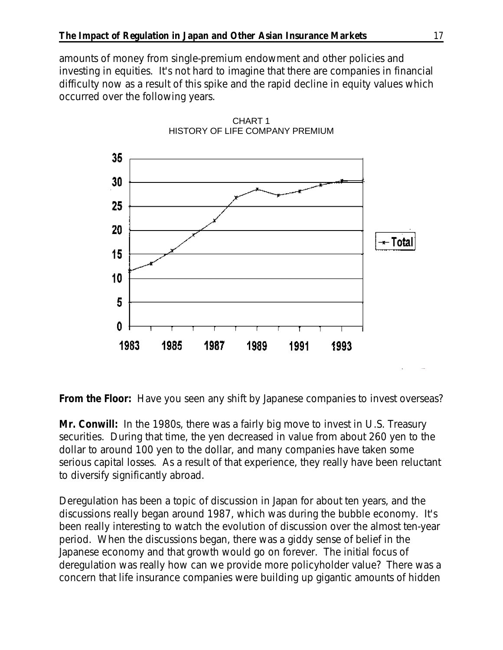amounts of money from single-premium endowment and other policies and investing in equities. It's not hard to imagine that there are companies in financial difficulty now as a result of this spike and the rapid decline in equity values which occurred over the following years.



CHART 1 HISTORY OF LIFE COMPANY PREMIUM

**From the Floor:** Have you seen any shift by Japanese companies to invest overseas?

**Mr. Conwill:** In the 1980s, there was a fairly big move to invest in U.S. Treasury securities. During that time, the yen decreased in value from about 260 yen to the dollar to around 100 yen to the dollar, and many companies have taken some serious capital losses. As a result of that experience, they really have been reluctant to diversify significantly abroad.

Deregulation has been a topic of discussion in Japan for about ten years, and the discussions really began around 1987, which was during the bubble economy. It's been really interesting to watch the evolution of discussion over the almost ten-year period. When the discussions began, there was a giddy sense of belief in the Japanese economy and that growth would go on forever. The initial focus of deregulation was really how can we provide more policyholder value? There was a concern that life insurance companies were building up gigantic amounts of hidden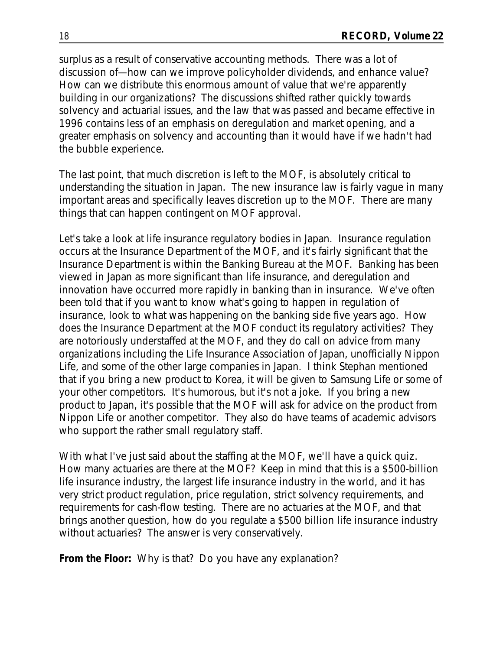surplus as a result of conservative accounting methods. There was a lot of discussion of—how can we improve policyholder dividends, and enhance value? How can we distribute this enormous amount of value that we're apparently building in our organizations? The discussions shifted rather quickly towards solvency and actuarial issues, and the law that was passed and became effective in 1996 contains less of an emphasis on deregulation and market opening, and a greater emphasis on solvency and accounting than it would have if we hadn't had the bubble experience.

The last point, that much discretion is left to the MOF, is absolutely critical to understanding the situation in Japan. The new insurance law is fairly vague in many important areas and specifically leaves discretion up to the MOF. There are many things that can happen contingent on MOF approval.

Let's take a look at life insurance regulatory bodies in Japan. Insurance regulation occurs at the Insurance Department of the MOF, and it's fairly significant that the Insurance Department is within the Banking Bureau at the MOF. Banking has been viewed in Japan as more significant than life insurance, and deregulation and innovation have occurred more rapidly in banking than in insurance. We've often been told that if you want to know what's going to happen in regulation of insurance, look to what was happening on the banking side five years ago. How does the Insurance Department at the MOF conduct its regulatory activities? They are notoriously understaffed at the MOF, and they do call on advice from many organizations including the Life Insurance Association of Japan, unofficially Nippon Life, and some of the other large companies in Japan. I think Stephan mentioned that if you bring a new product to Korea, it will be given to Samsung Life or some of your other competitors. It's humorous, but it's not a joke. If you bring a new product to Japan, it's possible that the MOF will ask for advice on the product from Nippon Life or another competitor. They also do have teams of academic advisors who support the rather small regulatory staff.

With what I've just said about the staffing at the MOF, we'll have a quick quiz. How many actuaries are there at the MOF? Keep in mind that this is a \$500-billion life insurance industry, the largest life insurance industry in the world, and it has very strict product regulation, price regulation, strict solvency requirements, and requirements for cash-flow testing. There are no actuaries at the MOF, and that brings another question, how do you regulate a \$500 billion life insurance industry without actuaries? The answer is very conservatively.

**From the Floor:** Why is that? Do you have any explanation?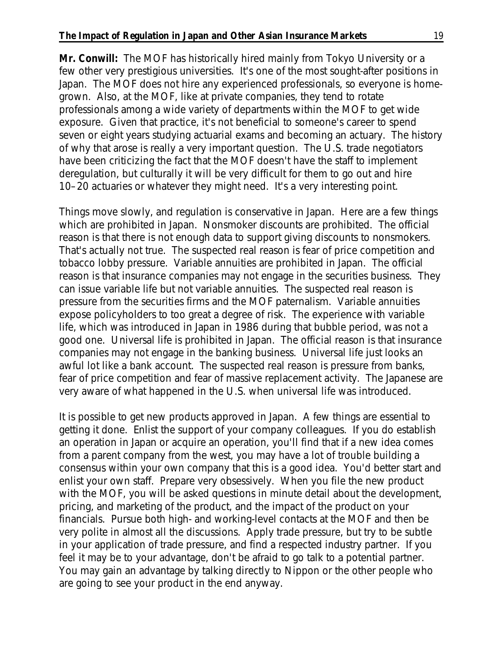**Mr. Conwill:** The MOF has historically hired mainly from Tokyo University or a few other very prestigious universities. It's one of the most sought-after positions in Japan. The MOF does not hire any experienced professionals, so everyone is homegrown. Also, at the MOF, like at private companies, they tend to rotate professionals among a wide variety of departments within the MOF to get wide exposure. Given that practice, it's not beneficial to someone's career to spend seven or eight years studying actuarial exams and becoming an actuary. The history of why that arose is really a very important question. The U.S. trade negotiators have been criticizing the fact that the MOF doesn't have the staff to implement deregulation, but culturally it will be very difficult for them to go out and hire 10–20 actuaries or whatever they might need. It's a very interesting point.

Things move slowly, and regulation is conservative in Japan. Here are a few things which are prohibited in Japan. Nonsmoker discounts are prohibited. The official reason is that there is not enough data to support giving discounts to nonsmokers. That's actually not true. The suspected real reason is fear of price competition and tobacco lobby pressure. Variable annuities are prohibited in Japan. The official reason is that insurance companies may not engage in the securities business. They can issue variable life but not variable annuities. The suspected real reason is pressure from the securities firms and the MOF paternalism. Variable annuities expose policyholders to too great a degree of risk. The experience with variable life, which was introduced in Japan in 1986 during that bubble period, was not a good one. Universal life is prohibited in Japan. The official reason is that insurance companies may not engage in the banking business. Universal life just looks an awful lot like a bank account. The suspected real reason is pressure from banks, fear of price competition and fear of massive replacement activity. The Japanese are very aware of what happened in the U.S. when universal life was introduced.

It is possible to get new products approved in Japan. A few things are essential to getting it done. Enlist the support of your company colleagues. If you do establish an operation in Japan or acquire an operation, you'll find that if a new idea comes from a parent company from the west, you may have a lot of trouble building a consensus within your own company that this is a good idea. You'd better start and enlist your own staff. Prepare very obsessively. When you file the new product with the MOF, you will be asked questions in minute detail about the development, pricing, and marketing of the product, and the impact of the product on your financials. Pursue both high- and working-level contacts at the MOF and then be very polite in almost all the discussions. Apply trade pressure, but try to be subtle in your application of trade pressure, and find a respected industry partner. If you feel it may be to your advantage, don't be afraid to go talk to a potential partner. You may gain an advantage by talking directly to Nippon or the other people who are going to see your product in the end anyway.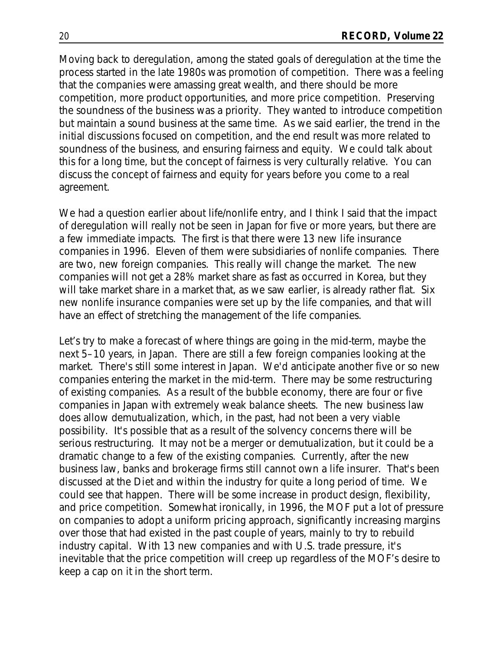Moving back to deregulation, among the stated goals of deregulation at the time the process started in the late 1980s was promotion of competition. There was a feeling that the companies were amassing great wealth, and there should be more competition, more product opportunities, and more price competition. Preserving the soundness of the business was a priority. They wanted to introduce competition but maintain a sound business at the same time. As we said earlier, the trend in the initial discussions focused on competition, and the end result was more related to soundness of the business, and ensuring fairness and equity. We could talk about this for a long time, but the concept of fairness is very culturally relative. You can discuss the concept of fairness and equity for years before you come to a real agreement.

We had a question earlier about life/nonlife entry, and I think I said that the impact of deregulation will really not be seen in Japan for five or more years, but there are a few immediate impacts. The first is that there were 13 new life insurance companies in 1996. Eleven of them were subsidiaries of nonlife companies. There are two, new foreign companies. This really will change the market. The new companies will not get a 28% market share as fast as occurred in Korea, but they will take market share in a market that, as we saw earlier, is already rather flat. Six new nonlife insurance companies were set up by the life companies, and that will have an effect of stretching the management of the life companies.

Let's try to make a forecast of where things are going in the mid-term, maybe the next 5–10 years, in Japan. There are still a few foreign companies looking at the market. There's still some interest in Japan. We'd anticipate another five or so new companies entering the market in the mid-term. There may be some restructuring of existing companies. As a result of the bubble economy, there are four or five companies in Japan with extremely weak balance sheets. The new business law does allow demutualization, which, in the past, had not been a very viable possibility. It's possible that as a result of the solvency concerns there will be serious restructuring. It may not be a merger or demutualization, but it could be a dramatic change to a few of the existing companies. Currently, after the new business law, banks and brokerage firms still cannot own a life insurer. That's been discussed at the Diet and within the industry for quite a long period of time. We could see that happen. There will be some increase in product design, flexibility, and price competition. Somewhat ironically, in 1996, the MOF put a lot of pressure on companies to adopt a uniform pricing approach, significantly increasing margins over those that had existed in the past couple of years, mainly to try to rebuild industry capital. With 13 new companies and with U.S. trade pressure, it's inevitable that the price competition will creep up regardless of the MOF's desire to keep a cap on it in the short term.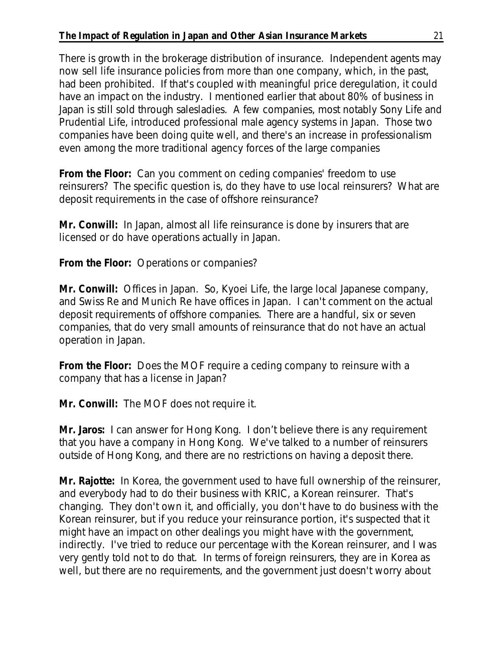There is growth in the brokerage distribution of insurance. Independent agents may now sell life insurance policies from more than one company, which, in the past, had been prohibited. If that's coupled with meaningful price deregulation, it could have an impact on the industry. I mentioned earlier that about 80% of business in Japan is still sold through salesladies. A few companies, most notably Sony Life and Prudential Life, introduced professional male agency systems in Japan. Those two companies have been doing quite well, and there's an increase in professionalism even among the more traditional agency forces of the large companies

**From the Floor:** Can you comment on ceding companies' freedom to use reinsurers? The specific question is, do they have to use local reinsurers? What are deposit requirements in the case of offshore reinsurance?

**Mr. Conwill:** In Japan, almost all life reinsurance is done by insurers that are licensed or do have operations actually in Japan.

**From the Floor:** Operations or companies?

**Mr. Conwill:** Offices in Japan. So, Kyoei Life, the large local Japanese company, and Swiss Re and Munich Re have offices in Japan. I can't comment on the actual deposit requirements of offshore companies. There are a handful, six or seven companies, that do very small amounts of reinsurance that do not have an actual operation in Japan.

**From the Floor:** Does the MOF require a ceding company to reinsure with a company that has a license in Japan?

**Mr. Conwill:** The MOF does not require it.

**Mr. Jaros:** I can answer for Hong Kong. I don't believe there is any requirement that you have a company in Hong Kong. We've talked to a number of reinsurers outside of Hong Kong, and there are no restrictions on having a deposit there.

**Mr. Rajotte:** In Korea, the government used to have full ownership of the reinsurer, and everybody had to do their business with KRIC, a Korean reinsurer. That's changing. They don't own it, and officially, you don't have to do business with the Korean reinsurer, but if you reduce your reinsurance portion, it's suspected that it might have an impact on other dealings you might have with the government, indirectly. I've tried to reduce our percentage with the Korean reinsurer, and I was very gently told not to do that. In terms of foreign reinsurers, they are in Korea as well, but there are no requirements, and the government just doesn't worry about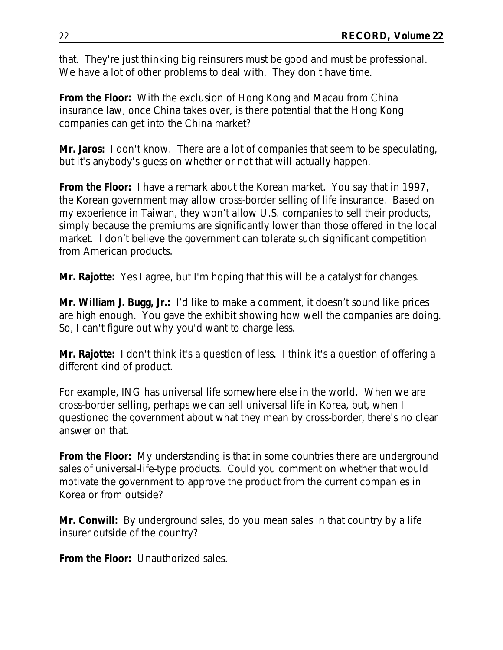that. They're just thinking big reinsurers must be good and must be professional. We have a lot of other problems to deal with. They don't have time.

**From the Floor:** With the exclusion of Hong Kong and Macau from China insurance law, once China takes over, is there potential that the Hong Kong companies can get into the China market?

**Mr. Jaros:** I don't know. There are a lot of companies that seem to be speculating, but it's anybody's guess on whether or not that will actually happen.

**From the Floor:** I have a remark about the Korean market. You say that in 1997, the Korean government may allow cross-border selling of life insurance. Based on my experience in Taiwan, they won't allow U.S. companies to sell their products, simply because the premiums are significantly lower than those offered in the local market. I don't believe the government can tolerate such significant competition from American products.

**Mr. Rajotte:** Yes I agree, but I'm hoping that this will be a catalyst for changes.

**Mr. William J. Bugg, Jr.:** I'd like to make a comment, it doesn't sound like prices are high enough. You gave the exhibit showing how well the companies are doing. So, I can't figure out why you'd want to charge less.

**Mr. Rajotte:** I don't think it's a question of less. I think it's a question of offering a different kind of product.

For example, ING has universal life somewhere else in the world. When we are cross-border selling, perhaps we can sell universal life in Korea, but, when I questioned the government about what they mean by cross-border, there's no clear answer on that.

**From the Floor:** My understanding is that in some countries there are underground sales of universal-life-type products. Could you comment on whether that would motivate the government to approve the product from the current companies in Korea or from outside?

**Mr. Conwill:** By underground sales, do you mean sales in that country by a life insurer outside of the country?

**From the Floor:** Unauthorized sales.